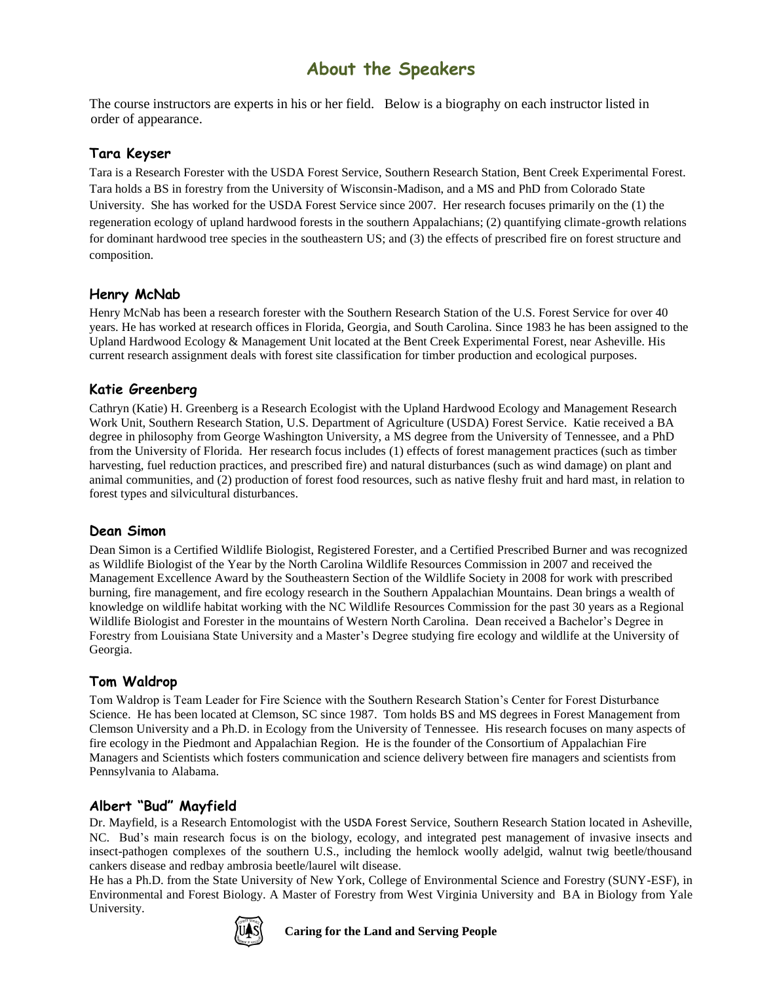# **About the Speakers**

The course instructors are experts in his or her field. Below is a biography on each instructor listed in order of appearance.

### **Tara Keyser**

Tara is a Research Forester with the USDA Forest Service, Southern Research Station, Bent Creek Experimental Forest. Tara holds a BS in forestry from the University of Wisconsin-Madison, and a MS and PhD from Colorado State University. She has worked for the USDA Forest Service since 2007. Her research focuses primarily on the (1) the regeneration ecology of upland hardwood forests in the southern Appalachians; (2) quantifying climate-growth relations for dominant hardwood tree species in the southeastern US; and (3) the effects of prescribed fire on forest structure and composition.

#### **Henry McNab**

Henry McNab has been a research forester with the Southern Research Station of the U.S. Forest Service for over 40 years. He has worked at research offices in Florida, Georgia, and South Carolina. Since 1983 he has been assigned to the Upland Hardwood Ecology & Management Unit located at the Bent Creek Experimental Forest, near Asheville. His current research assignment deals with forest site classification for timber production and ecological purposes.

# **Katie Greenberg**

Cathryn (Katie) H. Greenberg is a Research Ecologist with the Upland Hardwood Ecology and Management Research Work Unit, Southern Research Station, U.S. Department of Agriculture (USDA) Forest Service. Katie received a BA degree in philosophy from George Washington University, a MS degree from the University of Tennessee, and a PhD from the University of Florida. Her research focus includes (1) effects of forest management practices (such as timber harvesting, fuel reduction practices, and prescribed fire) and natural disturbances (such as wind damage) on plant and animal communities, and (2) production of forest food resources, such as native fleshy fruit and hard mast, in relation to forest types and silvicultural disturbances.

#### **Dean Simon**

Dean Simon is a Certified Wildlife Biologist, Registered Forester, and a Certified Prescribed Burner and was recognized as Wildlife Biologist of the Year by the North Carolina Wildlife Resources Commission in 2007 and received the Management Excellence Award by the Southeastern Section of the Wildlife Society in 2008 for work with prescribed burning, fire management, and fire ecology research in the Southern Appalachian Mountains. Dean brings a wealth of knowledge on wildlife habitat working with the NC Wildlife Resources Commission for the past 30 years as a Regional Wildlife Biologist and Forester in the mountains of Western North Carolina. Dean received a Bachelor's Degree in Forestry from Louisiana State University and a Master's Degree studying fire ecology and wildlife at the University of Georgia.

# **Tom Waldrop**

Tom Waldrop is Team Leader for Fire Science with the Southern Research Station's Center for Forest Disturbance Science. He has been located at Clemson, SC since 1987. Tom holds BS and MS degrees in Forest Management from Clemson University and a Ph.D. in Ecology from the University of Tennessee. His research focuses on many aspects of fire ecology in the Piedmont and Appalachian Region. He is the founder of the Consortium of Appalachian Fire Managers and Scientists which fosters communication and science delivery between fire managers and scientists from Pennsylvania to Alabama.

# **Albert "Bud" Mayfield**

Dr. Mayfield, is a Research Entomologist with the USDA Forest Service, Southern Research Station located in Asheville, NC. Bud's main research focus is on the biology, ecology, and integrated pest management of invasive insects and insect-pathogen complexes of the southern U.S., including the hemlock woolly adelgid, walnut twig beetle/thousand cankers disease and redbay ambrosia beetle/laurel wilt disease.

He has a Ph.D. from the State University of New York, College of Environmental Science and Forestry (SUNY-ESF), in Environmental and Forest Biology. A Master of Forestry from West Virginia University and BA in Biology from Yale University.



**Caring for the Land and Serving People**